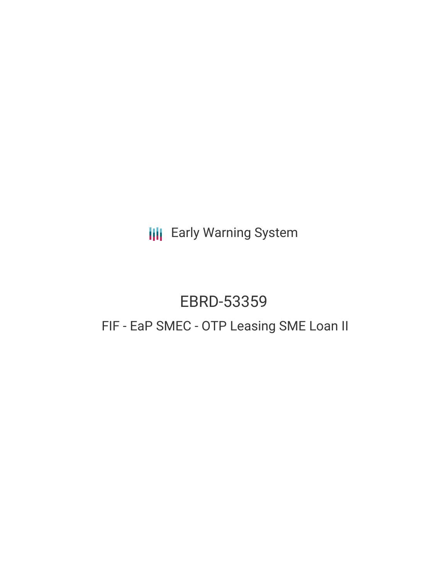**III** Early Warning System

# EBRD-53359 FIF - EaP SMEC - OTP Leasing SME Loan II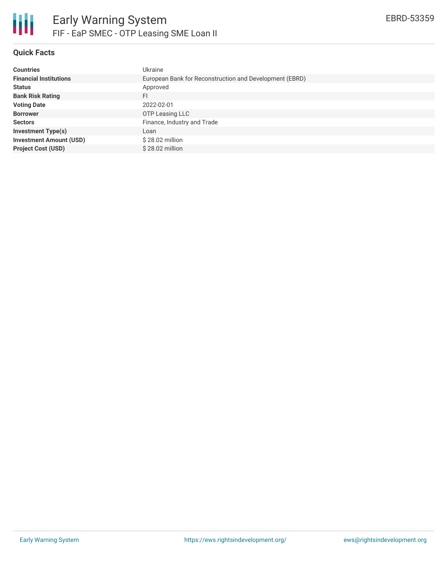

# **Quick Facts**

| <b>Countries</b>               | Ukraine                                                 |
|--------------------------------|---------------------------------------------------------|
| <b>Financial Institutions</b>  | European Bank for Reconstruction and Development (EBRD) |
| <b>Status</b>                  | Approved                                                |
| <b>Bank Risk Rating</b>        | FI                                                      |
| <b>Voting Date</b>             | 2022-02-01                                              |
| <b>Borrower</b>                | OTP Leasing LLC                                         |
| <b>Sectors</b>                 | Finance, Industry and Trade                             |
| <b>Investment Type(s)</b>      | Loan                                                    |
| <b>Investment Amount (USD)</b> | $$28.02$ million                                        |
| <b>Project Cost (USD)</b>      | $$28.02$ million                                        |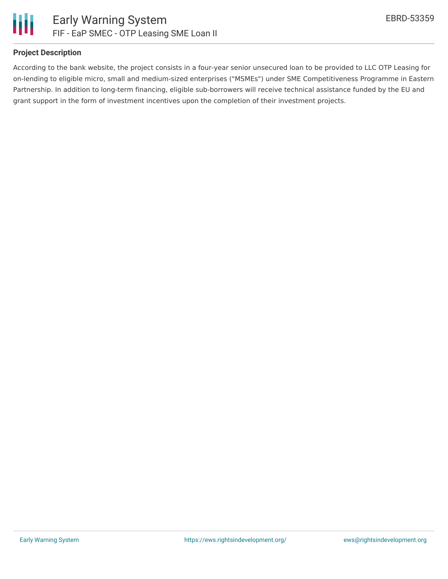

## **Project Description**

According to the bank website, the project consists in a four-year senior unsecured loan to be provided to LLC OTP Leasing for on-lending to eligible micro, small and medium-sized enterprises ("MSMEs") under SME Competitiveness Programme in Eastern Partnership. In addition to long-term financing, eligible sub-borrowers will receive technical assistance funded by the EU and grant support in the form of investment incentives upon the completion of their investment projects.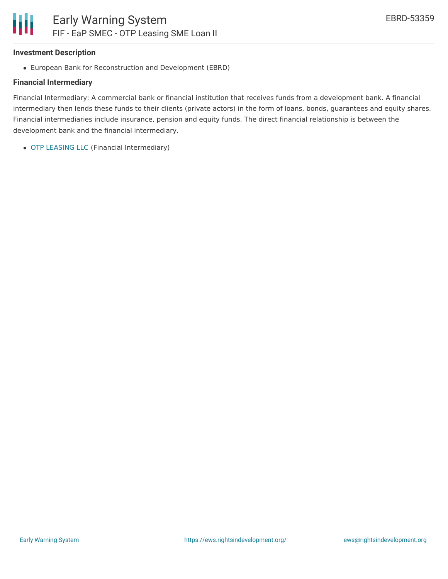### **Investment Description**

European Bank for Reconstruction and Development (EBRD)

#### **Financial Intermediary**

Financial Intermediary: A commercial bank or financial institution that receives funds from a development bank. A financial intermediary then lends these funds to their clients (private actors) in the form of loans, bonds, guarantees and equity shares. Financial intermediaries include insurance, pension and equity funds. The direct financial relationship is between the development bank and the financial intermediary.

OTP [LEASING](file:///actor/4086/) LLC (Financial Intermediary)